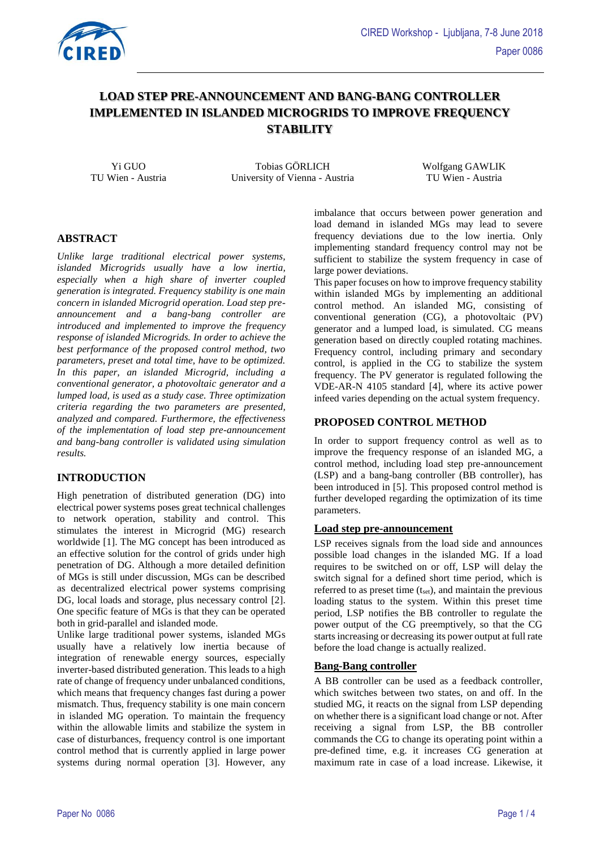

# **LOAD STEP PRE-ANNOUNCEMENT AND BANG-BANG CONTROLLER IMPLEMENTED IN ISLANDED MICROGRIDS TO IMPROVE FREQUENCY STABILITY**

Yi GUO Tobias GÖRLICH Wolfgang GAWLIK TU Wien - Austria University of Vienna - Austria TU Wien - Austria

# **ABSTRACT**

*Unlike large traditional electrical power systems, islanded Microgrids usually have a low inertia, especially when a high share of inverter coupled generation is integrated. Frequency stability is one main concern in islanded Microgrid operation. Load step preannouncement and a bang-bang controller are introduced and implemented to improve the frequency response of islanded Microgrids. In order to achieve the best performance of the proposed control method, two parameters, preset and total time, have to be optimized. In this paper, an islanded Microgrid, including a conventional generator, a photovoltaic generator and a lumped load, is used as a study case. Three optimization criteria regarding the two parameters are presented, analyzed and compared. Furthermore, the effectiveness of the implementation of load step pre-announcement and bang-bang controller is validated using simulation results.*

# **INTRODUCTION**

High penetration of distributed generation (DG) into electrical power systems poses great technical challenges to network operation, stability and control. This stimulates the interest in Microgrid (MG) research worldwide [1]. The MG concept has been introduced as an effective solution for the control of grids under high penetration of DG. Although a more detailed definition of MGs is still under discussion, MGs can be described as decentralized electrical power systems comprising DG, local loads and storage, plus necessary control [2]. One specific feature of MGs is that they can be operated both in grid-parallel and islanded mode.

Unlike large traditional power systems, islanded MGs usually have a relatively low inertia because of integration of renewable energy sources, especially inverter-based distributed generation. This leads to a high rate of change of frequency under unbalanced conditions, which means that frequency changes fast during a power mismatch. Thus, frequency stability is one main concern in islanded MG operation. To maintain the frequency within the allowable limits and stabilize the system in case of disturbances, frequency control is one important control method that is currently applied in large power systems during normal operation [3]. However, any imbalance that occurs between power generation and load demand in islanded MGs may lead to severe frequency deviations due to the low inertia. Only implementing standard frequency control may not be sufficient to stabilize the system frequency in case of large power deviations.

This paper focuses on how to improve frequency stability within islanded MGs by implementing an additional control method. An islanded MG, consisting of conventional generation (CG), a photovoltaic (PV) generator and a lumped load, is simulated. CG means generation based on directly coupled rotating machines. Frequency control, including primary and secondary control, is applied in the CG to stabilize the system frequency. The PV generator is regulated following the VDE-AR-N 4105 standard [4], where its active power infeed varies depending on the actual system frequency.

# **PROPOSED CONTROL METHOD**

In order to support frequency control as well as to improve the frequency response of an islanded MG, a control method, including load step pre-announcement (LSP) and a bang-bang controller (BB controller), has been introduced in [5]. This proposed control method is further developed regarding the optimization of its time parameters.

# **Load step pre-announcement**

LSP receives signals from the load side and announces possible load changes in the islanded MG. If a load requires to be switched on or off, LSP will delay the switch signal for a defined short time period, which is referred to as preset time  $(t_{\text{set}})$ , and maintain the previous loading status to the system. Within this preset time period, LSP notifies the BB controller to regulate the power output of the CG preemptively, so that the CG starts increasing or decreasing its power output at full rate before the load change is actually realized.

#### **Bang-Bang controller**

A BB controller can be used as a feedback controller, which switches between two states, on and off. In the studied MG, it reacts on the signal from LSP depending on whether there is a significant load change or not. After receiving a signal from LSP, the BB controller commands the CG to change its operating point within a pre-defined time, e.g. it increases CG generation at maximum rate in case of a load increase. Likewise, it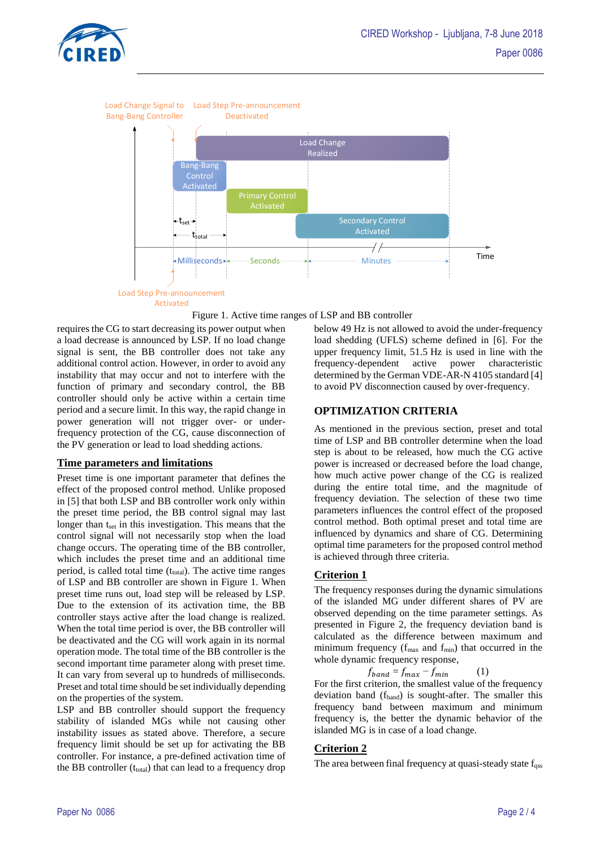



Activated



<span id="page-1-0"></span>requires the CG to start decreasing its power output when a load decrease is announced by LSP. If no load change signal is sent, the BB controller does not take any additional control action. However, in order to avoid any instability that may occur and not to interfere with the function of primary and secondary control, the BB controller should only be active within a certain time period and a secure limit. In this way, the rapid change in power generation will not trigger over- or underfrequency protection of the CG, cause disconnection of the PV generation or lead to load shedding actions.

# **Time parameters and limitations**

Preset time is one important parameter that defines the effect of the proposed control method. Unlike proposed in [5] that both LSP and BB controller work only within the preset time period, the BB control signal may last longer than t<sub>set</sub> in this investigation. This means that the control signal will not necessarily stop when the load change occurs. The operating time of the BB controller, which includes the preset time and an additional time period, is called total time  $(t_{total})$ . The active time ranges of LSP and BB controller are shown in [Figure 1.](#page-1-0) When preset time runs out, load step will be released by LSP. Due to the extension of its activation time, the BB controller stays active after the load change is realized. When the total time period is over, the BB controller will be deactivated and the CG will work again in its normal operation mode. The total time of the BB controller is the second important time parameter along with preset time. It can vary from several up to hundreds of milliseconds. Preset and total time should be set individually depending on the properties of the system.

LSP and BB controller should support the frequency stability of islanded MGs while not causing other instability issues as stated above. Therefore, a secure frequency limit should be set up for activating the BB controller. For instance, a pre-defined activation time of the BB controller  $(t_{total})$  that can lead to a frequency drop

below 49 Hz is not allowed to avoid the under-frequency load shedding (UFLS) scheme defined in [6]. For the upper frequency limit, 51.5 Hz is used in line with the frequency-dependent active power characteristic determined by the German VDE-AR-N 4105 standard [4] to avoid PV disconnection caused by over-frequency.

#### **OPTIMIZATION CRITERIA**

As mentioned in the previous section, preset and total time of LSP and BB controller determine when the load step is about to be released, how much the CG active power is increased or decreased before the load change, how much active power change of the CG is realized during the entire total time, and the magnitude of frequency deviation. The selection of these two time parameters influences the control effect of the proposed control method. Both optimal preset and total time are influenced by dynamics and share of CG. Determining optimal time parameters for the proposed control method is achieved through three criteria.

# **Criterion 1**

The frequency responses during the dynamic simulations of the islanded MG under different shares of PV are observed depending on the time parameter settings. As presented in [Figure 2,](#page-2-0) the frequency deviation band is calculated as the difference between maximum and minimum frequency ( $f_{\text{max}}$  and  $f_{\text{min}}$ ) that occurred in the whole dynamic frequency response,

 $f_{band} = f_{max} - f_{min}$  (1)

For the first criterion, the smallest value of the frequency deviation band (fband) is sought-after. The smaller this frequency band between maximum and minimum frequency is, the better the dynamic behavior of the islanded MG is in case of a load change.

# **Criterion 2**

The area between final frequency at quasi-steady state f<sub>qss</sub>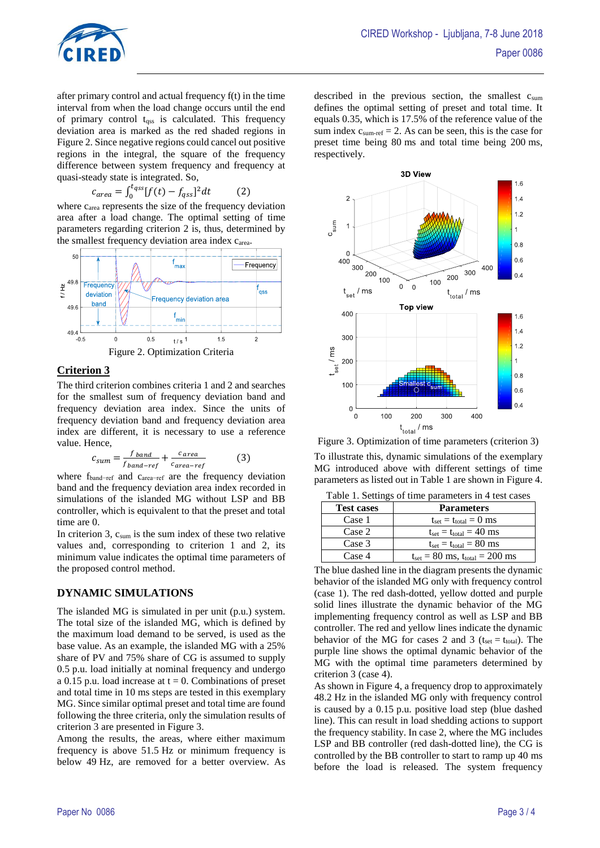

after primary control and actual frequency f(t) in the time interval from when the load change occurs until the end of primary control tqss is calculated. This frequency deviation area is marked as the red shaded regions in [Figure 2.](#page-2-0) Since negative regions could cancel out positive regions in the integral, the square of the frequency difference between system frequency and frequency at quasi-steady state is integrated. So,

$$
c_{area} = \int_0^{t_{qss}} [f(t) - f_{qss}]^2 dt \tag{2}
$$

where c<sub>area</sub> represents the size of the frequency deviation area after a load change. The optimal setting of time parameters regarding criterion 2 is, thus, determined by the smallest frequency deviation area index c<sub>area</sub>.



# <span id="page-2-0"></span>**Criterion 3**

The third criterion combines criteria 1 and 2 and searches for the smallest sum of frequency deviation band and frequency deviation area index. Since the units of frequency deviation band and frequency deviation area index are different, it is necessary to use a reference value. Hence,

$$
c_{sum} = \frac{f_{band}}{f_{band-ref}} + \frac{c_{area}}{c_{area-ref}}
$$
(3)

where fband−ref and carea−ref are the frequency deviation band and the frequency deviation area index recorded in simulations of the islanded MG without LSP and BB controller, which is equivalent to that the preset and total time are 0.

In criterion 3,  $c_{\text{sum}}$  is the sum index of these two relative values and, corresponding to criterion 1 and 2, its minimum value indicates the optimal time parameters of the proposed control method.

# **DYNAMIC SIMULATIONS**

The islanded MG is simulated in per unit (p.u.) system. The total size of the islanded MG, which is defined by the maximum load demand to be served, is used as the base value. As an example, the islanded MG with a 25% share of PV and 75% share of CG is assumed to supply 0.5 p.u. load initially at nominal frequency and undergo a 0.15 p.u. load increase at  $t = 0$ . Combinations of preset and total time in 10 ms steps are tested in this exemplary MG. Since similar optimal preset and total time are found following the three criteria, only the simulation results of criterion 3 are presented in [Figure 3.](#page-2-1)

Among the results, the areas, where either maximum frequency is above 51.5 Hz or minimum frequency is below 49 Hz, are removed for a better overview. As described in the previous section, the smallest  $c<sub>sum</sub>$ defines the optimal setting of preset and total time. It equals 0.35, which is 17.5% of the reference value of the sum index  $c_{\text{sum-ref}} = 2$ . As can be seen, this is the case for preset time being 80 ms and total time being 200 ms, respectively.



<span id="page-2-1"></span>Figure 3. Optimization of time parameters (criterion 3) To illustrate this, dynamic simulations of the exemplary MG introduced above with different settings of time parameters as listed out i[n Table 1](#page-2-2) are shown in [Figure 4.](#page-3-0)

Table 1. Settings of time parameters in 4 test cases

<span id="page-2-2"></span>

| <b>Test cases</b> | <b>Parameters</b>                                                   |
|-------------------|---------------------------------------------------------------------|
| Case 1            | $t_{\text{set}} = t_{\text{total}} = 0$ ms                          |
| Case 2            | $t_{\text{set}} = t_{\text{total}} = 40 \text{ ms}$                 |
| Case 3            | $t_{\text{set}} = t_{\text{total}} = 80 \text{ ms}$                 |
| Case 4            | $t_{\text{set}} = 80 \text{ ms}, t_{\text{total}} = 200 \text{ ms}$ |

The blue dashed line in the diagram presents the dynamic behavior of the islanded MG only with frequency control (case 1). The red dash-dotted, yellow dotted and purple solid lines illustrate the dynamic behavior of the MG implementing frequency control as well as LSP and BB controller. The red and yellow lines indicate the dynamic behavior of the MG for cases 2 and 3 ( $t_{\text{set}} = t_{\text{total}}$ ). The purple line shows the optimal dynamic behavior of the MG with the optimal time parameters determined by criterion 3 (case 4).

As shown i[n Figure 4,](#page-3-0) a frequency drop to approximately 48.2 Hz in the islanded MG only with frequency control is caused by a 0.15 p.u. positive load step (blue dashed line). This can result in load shedding actions to support the frequency stability. In case 2, where the MG includes LSP and BB controller (red dash-dotted line), the CG is controlled by the BB controller to start to ramp up 40 ms before the load is released. The system frequency